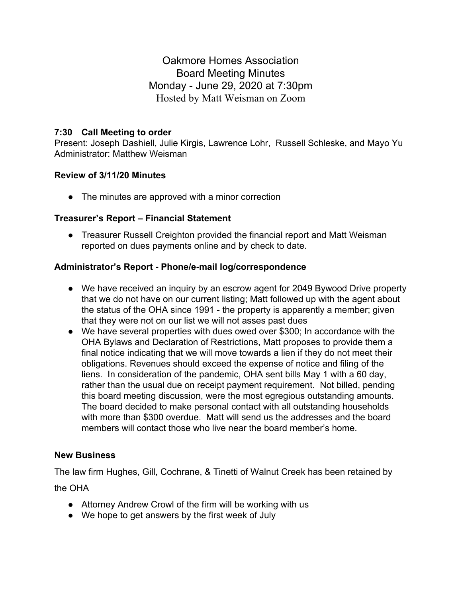Oakmore Homes Association Board Meeting Minutes Monday - June 29, 2020 at 7:30pm Hosted by Matt Weisman on Zoom

## **7:30 Call Meeting to order**

Present: Joseph Dashiell, Julie Kirgis, Lawrence Lohr, Russell Schleske, and Mayo Yu Administrator: Matthew Weisman

## **Review of 3/11/20 Minutes**

• The minutes are approved with a minor correction

#### **Treasurer's Report – Financial Statement**

• Treasurer Russell Creighton provided the financial report and Matt Weisman reported on dues payments online and by check to date.

### **Administrator's Report - Phone/e-mail log/correspondence**

- We have received an inquiry by an escrow agent for 2049 Bywood Drive property that we do not have on our current listing; Matt followed up with the agent about the status of the OHA since 1991 - the property is apparently a member; given that they were not on our list we will not asses past dues
- We have several properties with dues owed over \$300; In accordance with the OHA Bylaws and Declaration of Restrictions, Matt proposes to provide them a final notice indicating that we will move towards a lien if they do not meet their obligations. Revenues should exceed the expense of notice and filing of the liens. In consideration of the pandemic, OHA sent bills May 1 with a 60 day, rather than the usual due on receipt payment requirement. Not billed, pending this board meeting discussion, were the most egregious outstanding amounts. The board decided to make personal contact with all outstanding households with more than \$300 overdue. Matt will send us the addresses and the board members will contact those who live near the board member's home.

#### **New Business**

The law firm Hughes, Gill, Cochrane, & Tinetti of Walnut Creek has been retained by

the OHA

- Attorney Andrew Crowl of the firm will be working with us
- We hope to get answers by the first week of July